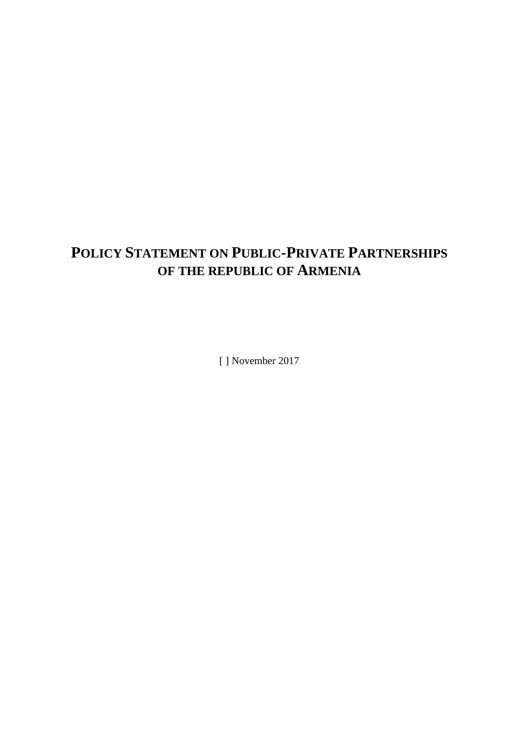# **POLICY STATEMENT ON PUBLIC-PRIVATE PARTNERSHIPS OF THE REPUBLIC OF ARMENIA**

[] November 2017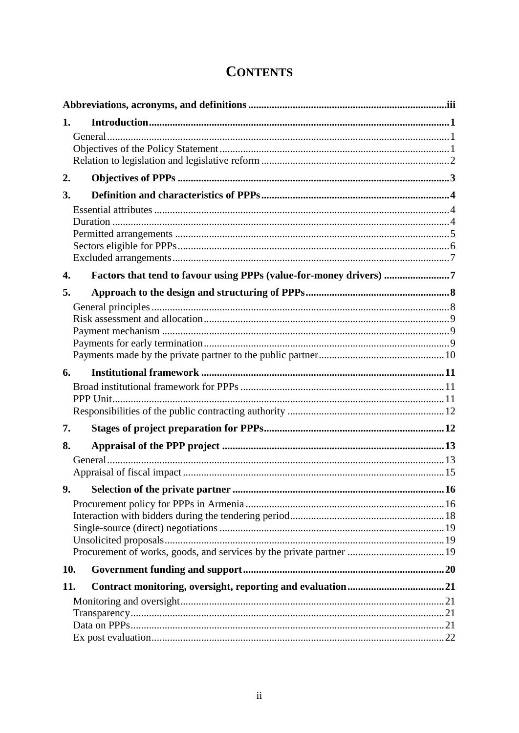| 1.  |                                                                    |  |  |  |  |  |  |
|-----|--------------------------------------------------------------------|--|--|--|--|--|--|
|     |                                                                    |  |  |  |  |  |  |
| 2.  |                                                                    |  |  |  |  |  |  |
| 3.  |                                                                    |  |  |  |  |  |  |
|     |                                                                    |  |  |  |  |  |  |
|     |                                                                    |  |  |  |  |  |  |
|     |                                                                    |  |  |  |  |  |  |
|     |                                                                    |  |  |  |  |  |  |
| 4.  | Factors that tend to favour using PPPs (value-for-money drivers) 7 |  |  |  |  |  |  |
| 5.  |                                                                    |  |  |  |  |  |  |
|     |                                                                    |  |  |  |  |  |  |
|     |                                                                    |  |  |  |  |  |  |
|     |                                                                    |  |  |  |  |  |  |
|     |                                                                    |  |  |  |  |  |  |
| 6.  |                                                                    |  |  |  |  |  |  |
|     |                                                                    |  |  |  |  |  |  |
|     |                                                                    |  |  |  |  |  |  |
|     |                                                                    |  |  |  |  |  |  |
| 7.  |                                                                    |  |  |  |  |  |  |
| 8.  |                                                                    |  |  |  |  |  |  |
|     |                                                                    |  |  |  |  |  |  |
|     |                                                                    |  |  |  |  |  |  |
|     |                                                                    |  |  |  |  |  |  |
|     |                                                                    |  |  |  |  |  |  |
|     |                                                                    |  |  |  |  |  |  |
|     |                                                                    |  |  |  |  |  |  |
|     |                                                                    |  |  |  |  |  |  |
| 10. |                                                                    |  |  |  |  |  |  |
| 11. |                                                                    |  |  |  |  |  |  |
|     |                                                                    |  |  |  |  |  |  |
|     |                                                                    |  |  |  |  |  |  |
|     |                                                                    |  |  |  |  |  |  |

# **CONTENTS**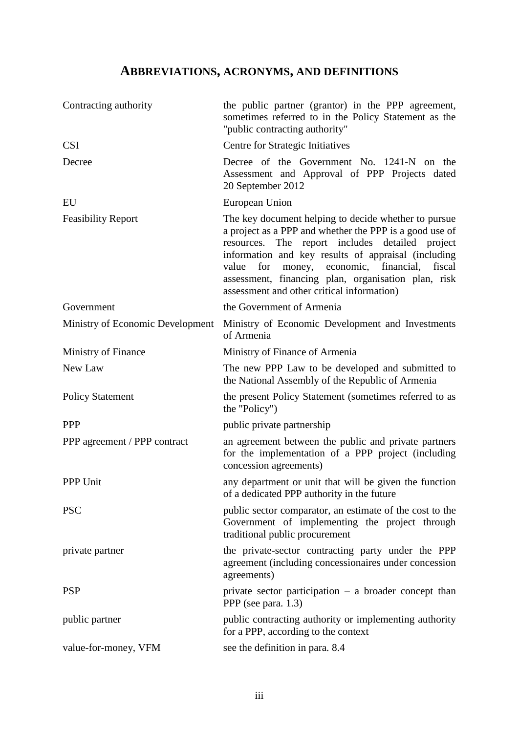# **ABBREVIATIONS, ACRONYMS, AND DEFINITIONS**

<span id="page-2-0"></span>

| Contracting authority            | the public partner (grantor) in the PPP agreement,<br>sometimes referred to in the Policy Statement as the<br>"public contracting authority"                                                                                                                                                                                                                                                  |  |  |  |  |  |
|----------------------------------|-----------------------------------------------------------------------------------------------------------------------------------------------------------------------------------------------------------------------------------------------------------------------------------------------------------------------------------------------------------------------------------------------|--|--|--|--|--|
| <b>CSI</b>                       | Centre for Strategic Initiatives                                                                                                                                                                                                                                                                                                                                                              |  |  |  |  |  |
| Decree                           | Decree of the Government No. 1241-N on the<br>Assessment and Approval of PPP Projects dated<br>20 September 2012                                                                                                                                                                                                                                                                              |  |  |  |  |  |
| EU                               | European Union                                                                                                                                                                                                                                                                                                                                                                                |  |  |  |  |  |
| <b>Feasibility Report</b>        | The key document helping to decide whether to pursue<br>a project as a PPP and whether the PPP is a good use of<br>resources. The report includes detailed project<br>information and key results of appraisal (including<br>economic,<br>for<br>money,<br>financial,<br>fiscal<br>value<br>assessment, financing plan, organisation plan, risk<br>assessment and other critical information) |  |  |  |  |  |
| Government                       | the Government of Armenia                                                                                                                                                                                                                                                                                                                                                                     |  |  |  |  |  |
| Ministry of Economic Development | Ministry of Economic Development and Investments<br>of Armenia                                                                                                                                                                                                                                                                                                                                |  |  |  |  |  |
| Ministry of Finance              | Ministry of Finance of Armenia                                                                                                                                                                                                                                                                                                                                                                |  |  |  |  |  |
| New Law                          | The new PPP Law to be developed and submitted to<br>the National Assembly of the Republic of Armenia                                                                                                                                                                                                                                                                                          |  |  |  |  |  |
| <b>Policy Statement</b>          | the present Policy Statement (sometimes referred to as<br>the "Policy")                                                                                                                                                                                                                                                                                                                       |  |  |  |  |  |
| <b>PPP</b>                       | public private partnership                                                                                                                                                                                                                                                                                                                                                                    |  |  |  |  |  |
| PPP agreement / PPP contract     | an agreement between the public and private partners<br>for the implementation of a PPP project (including<br>concession agreements)                                                                                                                                                                                                                                                          |  |  |  |  |  |
| <b>PPP Unit</b>                  | any department or unit that will be given the function<br>of a dedicated PPP authority in the future                                                                                                                                                                                                                                                                                          |  |  |  |  |  |
| <b>PSC</b>                       | public sector comparator, an estimate of the cost to the<br>Government of implementing the project through<br>traditional public procurement                                                                                                                                                                                                                                                  |  |  |  |  |  |
| private partner                  | the private-sector contracting party under the PPP<br>agreement (including concessionaires under concession<br>agreements)                                                                                                                                                                                                                                                                    |  |  |  |  |  |
| <b>PSP</b>                       | private sector participation $-$ a broader concept than<br>PPP (see para. 1.3)                                                                                                                                                                                                                                                                                                                |  |  |  |  |  |
| public partner                   | public contracting authority or implementing authority<br>for a PPP, according to the context                                                                                                                                                                                                                                                                                                 |  |  |  |  |  |
| value-for-money, VFM             | see the definition in para. 8.4                                                                                                                                                                                                                                                                                                                                                               |  |  |  |  |  |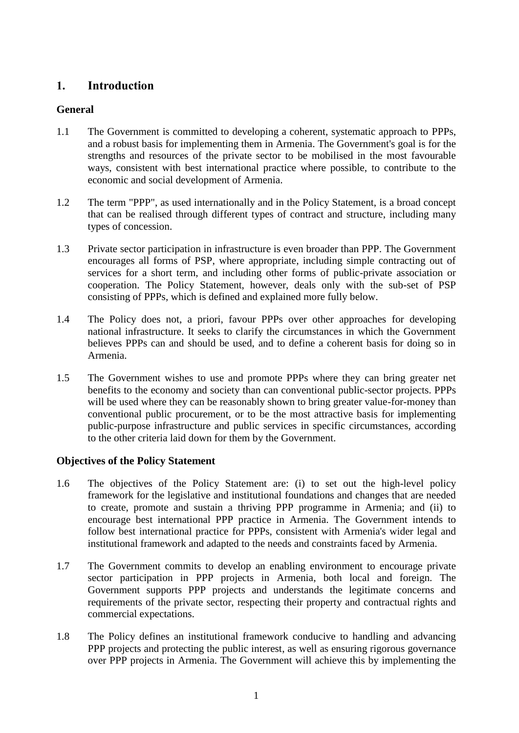# <span id="page-3-0"></span>**1. Introduction**

## <span id="page-3-1"></span>**General**

- 1.1 The Government is committed to developing a coherent, systematic approach to PPPs, and a robust basis for implementing them in Armenia. The Government's goal is for the strengths and resources of the private sector to be mobilised in the most favourable ways, consistent with best international practice where possible, to contribute to the economic and social development of Armenia.
- 1.2 The term "PPP", as used internationally and in the Policy Statement, is a broad concept that can be realised through different types of contract and structure, including many types of concession.
- <span id="page-3-3"></span>1.3 Private sector participation in infrastructure is even broader than PPP. The Government encourages all forms of PSP, where appropriate, including simple contracting out of services for a short term, and including other forms of public-private association or cooperation. The Policy Statement, however, deals only with the sub-set of PSP consisting of PPPs, which is defined and explained more fully below.
- 1.4 The Policy does not, a priori, favour PPPs over other approaches for developing national infrastructure. It seeks to clarify the circumstances in which the Government believes PPPs can and should be used, and to define a coherent basis for doing so in Armenia.
- 1.5 The Government wishes to use and promote PPPs where they can bring greater net benefits to the economy and society than can conventional public-sector projects. PPPs will be used where they can be reasonably shown to bring greater value-for-money than conventional public procurement, or to be the most attractive basis for implementing public-purpose infrastructure and public services in specific circumstances, according to the other criteria laid down for them by the Government.

## <span id="page-3-2"></span>**Objectives of the Policy Statement**

- 1.6 The objectives of the Policy Statement are: (i) to set out the high-level policy framework for the legislative and institutional foundations and changes that are needed to create, promote and sustain a thriving PPP programme in Armenia; and (ii) to encourage best international PPP practice in Armenia. The Government intends to follow best international practice for PPPs, consistent with Armenia's wider legal and institutional framework and adapted to the needs and constraints faced by Armenia.
- 1.7 The Government commits to develop an enabling environment to encourage private sector participation in PPP projects in Armenia, both local and foreign. The Government supports PPP projects and understands the legitimate concerns and requirements of the private sector, respecting their property and contractual rights and commercial expectations.
- 1.8 The Policy defines an institutional framework conducive to handling and advancing PPP projects and protecting the public interest, as well as ensuring rigorous governance over PPP projects in Armenia. The Government will achieve this by implementing the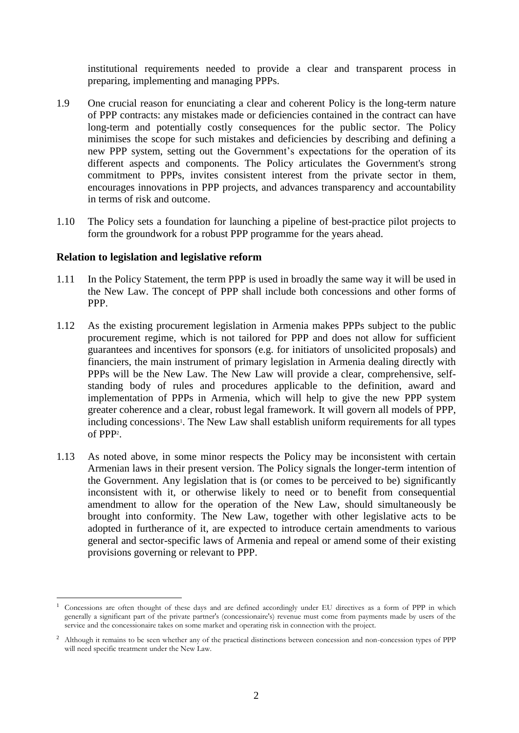institutional requirements needed to provide a clear and transparent process in preparing, implementing and managing PPPs.

- 1.9 One crucial reason for enunciating a clear and coherent Policy is the long-term nature of PPP contracts: any mistakes made or deficiencies contained in the contract can have long-term and potentially costly consequences for the public sector. The Policy minimises the scope for such mistakes and deficiencies by describing and defining a new PPP system, setting out the Government's expectations for the operation of its different aspects and components. The Policy articulates the Government's strong commitment to PPPs, invites consistent interest from the private sector in them, encourages innovations in PPP projects, and advances transparency and accountability in terms of risk and outcome.
- 1.10 The Policy sets a foundation for launching a pipeline of best-practice pilot projects to form the groundwork for a robust PPP programme for the years ahead.

#### <span id="page-4-0"></span>**Relation to legislation and legislative reform**

 $\overline{a}$ 

- 1.11 In the Policy Statement, the term PPP is used in broadly the same way it will be used in the New Law. The concept of PPP shall include both concessions and other forms of PPP.
- 1.12 As the existing procurement legislation in Armenia makes PPPs subject to the public procurement regime, which is not tailored for PPP and does not allow for sufficient guarantees and incentives for sponsors (e.g. for initiators of unsolicited proposals) and financiers, the main instrument of primary legislation in Armenia dealing directly with PPPs will be the New Law. The New Law will provide a clear, comprehensive, selfstanding body of rules and procedures applicable to the definition, award and implementation of PPPs in Armenia, which will help to give the new PPP system greater coherence and a clear, robust legal framework. It will govern all models of PPP, including concessions<sup>1</sup>. The New Law shall establish uniform requirements for all types of PPP<sup>2</sup> .
- 1.13 As noted above, in some minor respects the Policy may be inconsistent with certain Armenian laws in their present version. The Policy signals the longer-term intention of the Government. Any legislation that is (or comes to be perceived to be) significantly inconsistent with it, or otherwise likely to need or to benefit from consequential amendment to allow for the operation of the New Law, should simultaneously be brought into conformity. The New Law, together with other legislative acts to be adopted in furtherance of it, are expected to introduce certain amendments to various general and sector-specific laws of Armenia and repeal or amend some of their existing provisions governing or relevant to PPP.

<sup>1</sup> Concessions are often thought of these days and are defined accordingly under EU directives as a form of PPP in which generally a significant part of the private partner's (concessionaire's) revenue must come from payments made by users of the service and the concessionaire takes on some market and operating risk in connection with the project.

<sup>&</sup>lt;sup>2</sup> Although it remains to be seen whether any of the practical distinctions between concession and non-concession types of PPP will need specific treatment under the New Law.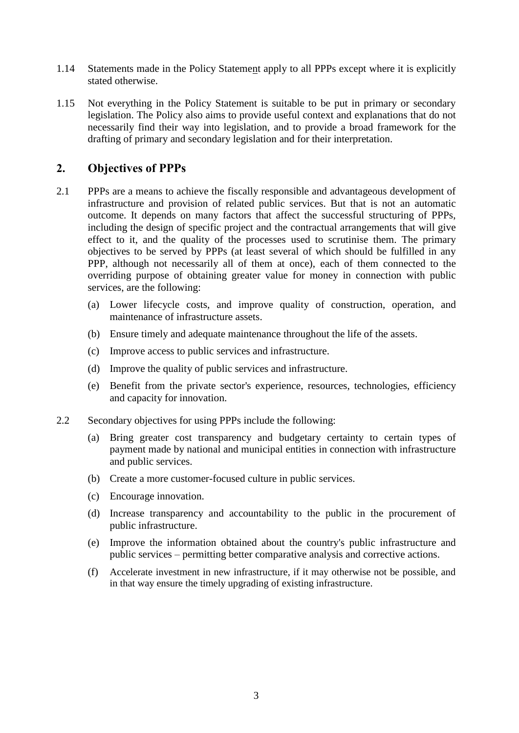- 1.14 Statements made in the Policy Statement apply to all PPPs except where it is explicitly stated otherwise.
- 1.15 Not everything in the Policy Statement is suitable to be put in primary or secondary legislation. The Policy also aims to provide useful context and explanations that do not necessarily find their way into legislation, and to provide a broad framework for the drafting of primary and secondary legislation and for their interpretation.

## <span id="page-5-0"></span>**2. Objectives of PPPs**

- 2.1 PPPs are a means to achieve the fiscally responsible and advantageous development of infrastructure and provision of related public services. But that is not an automatic outcome. It depends on many factors that affect the successful structuring of PPPs, including the design of specific project and the contractual arrangements that will give effect to it, and the quality of the processes used to scrutinise them. The primary objectives to be served by PPPs (at least several of which should be fulfilled in any PPP, although not necessarily all of them at once), each of them connected to the overriding purpose of obtaining greater value for money in connection with public services, are the following:
	- (a) Lower lifecycle costs, and improve quality of construction, operation, and maintenance of infrastructure assets.
	- (b) Ensure timely and adequate maintenance throughout the life of the assets.
	- (c) Improve access to public services and infrastructure.
	- (d) Improve the quality of public services and infrastructure.
	- (e) Benefit from the private sector's experience, resources, technologies, efficiency and capacity for innovation.
- 2.2 Secondary objectives for using PPPs include the following:
	- (a) Bring greater cost transparency and budgetary certainty to certain types of payment made by national and municipal entities in connection with infrastructure and public services.
	- (b) Create a more customer-focused culture in public services.
	- (c) Encourage innovation.
	- (d) Increase transparency and accountability to the public in the procurement of public infrastructure.
	- (e) Improve the information obtained about the country's public infrastructure and public services – permitting better comparative analysis and corrective actions.
	- (f) Accelerate investment in new infrastructure, if it may otherwise not be possible, and in that way ensure the timely upgrading of existing infrastructure.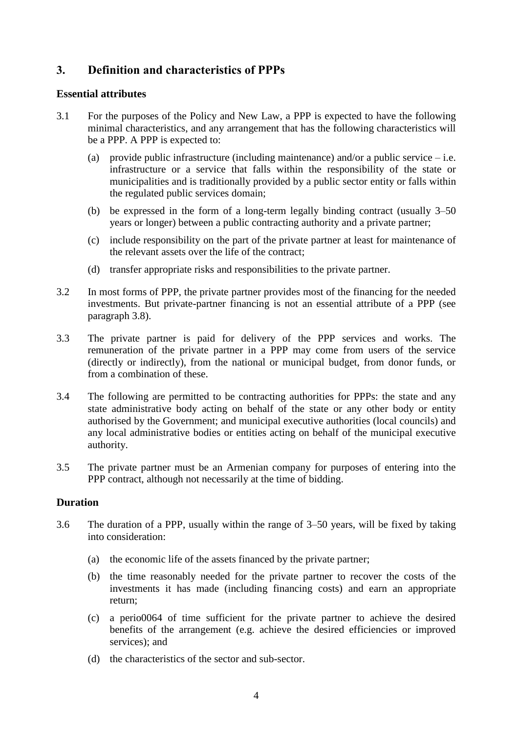# <span id="page-6-0"></span>**3. Definition and characteristics of PPPs**

#### <span id="page-6-1"></span>**Essential attributes**

- <span id="page-6-3"></span>3.1 For the purposes of the Policy and New Law, a PPP is expected to have the following minimal characteristics, and any arrangement that has the following characteristics will be a PPP. A PPP is expected to:
	- (a) provide public infrastructure (including maintenance) and/or a public service  $-i.e.$ infrastructure or a service that falls within the responsibility of the state or municipalities and is traditionally provided by a public sector entity or falls within the regulated public services domain;
	- (b) be expressed in the form of a long-term legally binding contract (usually 3–50 years or longer) between a public contracting authority and a private partner;
	- (c) include responsibility on the part of the private partner at least for maintenance of the relevant assets over the life of the contract;
	- (d) transfer appropriate risks and responsibilities to the private partner.
- 3.2 In most forms of PPP, the private partner provides most of the financing for the needed investments. But private-partner financing is not an essential attribute of a PPP (see paragraph [3.8\)](#page-8-1).
- 3.3 The private partner is paid for delivery of the PPP services and works. The remuneration of the private partner in a PPP may come from users of the service (directly or indirectly), from the national or municipal budget, from donor funds, or from a combination of these.
- 3.4 The following are permitted to be contracting authorities for PPPs: the state and any state administrative body acting on behalf of the state or any other body or entity authorised by the Government; and municipal executive authorities (local councils) and any local administrative bodies or entities acting on behalf of the municipal executive authority.
- <span id="page-6-4"></span>3.5 The private partner must be an Armenian company for purposes of entering into the PPP contract, although not necessarily at the time of bidding.

## <span id="page-6-2"></span>**Duration**

- 3.6 The duration of a PPP, usually within the range of 3–50 years, will be fixed by taking into consideration:
	- (a) the economic life of the assets financed by the private partner;
	- (b) the time reasonably needed for the private partner to recover the costs of the investments it has made (including financing costs) and earn an appropriate return;
	- (c) a perio0064 of time sufficient for the private partner to achieve the desired benefits of the arrangement (e.g. achieve the desired efficiencies or improved services); and
	- (d) the characteristics of the sector and sub-sector.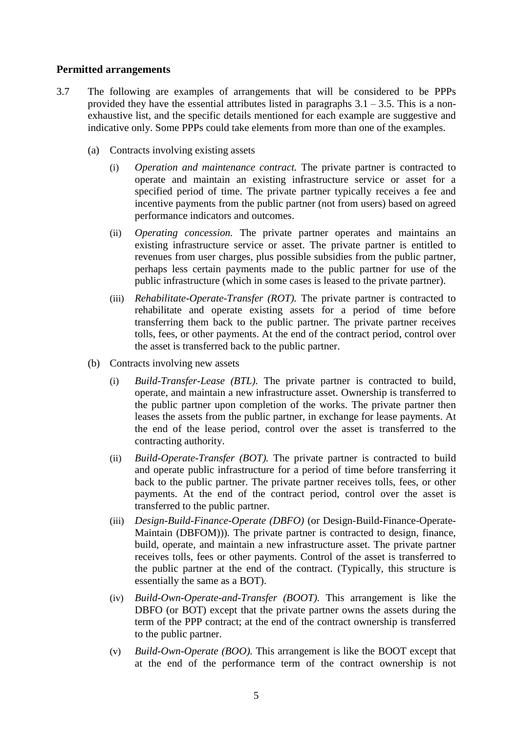#### <span id="page-7-0"></span>**Permitted arrangements**

- 3.7 The following are examples of arrangements that will be considered to be PPPs provided they have the essential attributes listed in paragraphs  $3.1 - 3.5$  $3.1 - 3.5$ . This is a nonexhaustive list, and the specific details mentioned for each example are suggestive and indicative only. Some PPPs could take elements from more than one of the examples.
	- (a) Contracts involving existing assets
		- (i) *Operation and maintenance contract.* The private partner is contracted to operate and maintain an existing infrastructure service or asset for a specified period of time. The private partner typically receives a fee and incentive payments from the public partner (not from users) based on agreed performance indicators and outcomes.
		- (ii) *Operating concession.* The private partner operates and maintains an existing infrastructure service or asset. The private partner is entitled to revenues from user charges, plus possible subsidies from the public partner, perhaps less certain payments made to the public partner for use of the public infrastructure (which in some cases is leased to the private partner).
		- (iii) *Rehabilitate-Operate-Transfer (ROT).* The private partner is contracted to rehabilitate and operate existing assets for a period of time before transferring them back to the public partner. The private partner receives tolls, fees, or other payments. At the end of the contract period, control over the asset is transferred back to the public partner.
	- (b) Contracts involving new assets
		- (i) *Build-Transfer-Lease (BTL).* The private partner is contracted to build, operate, and maintain a new infrastructure asset. Ownership is transferred to the public partner upon completion of the works. The private partner then leases the assets from the public partner, in exchange for lease payments. At the end of the lease period, control over the asset is transferred to the contracting authority.
		- (ii) *Build-Operate-Transfer (BOT).* The private partner is contracted to build and operate public infrastructure for a period of time before transferring it back to the public partner. The private partner receives tolls, fees, or other payments. At the end of the contract period, control over the asset is transferred to the public partner.
		- (iii) *Design-Build-Finance-Operate (DBFO)* (or Design-Build-Finance-Operate-Maintain (DBFOM)))*.* The private partner is contracted to design, finance, build, operate, and maintain a new infrastructure asset. The private partner receives tolls, fees or other payments. Control of the asset is transferred to the public partner at the end of the contract. (Typically, this structure is essentially the same as a BOT).
		- (iv) *Build-Own-Operate-and-Transfer (BOOT).* This arrangement is like the DBFO (or BOT) except that the private partner owns the assets during the term of the PPP contract; at the end of the contract ownership is transferred to the public partner.
		- (v) *Build-Own-Operate (BOO).* This arrangement is like the BOOT except that at the end of the performance term of the contract ownership is not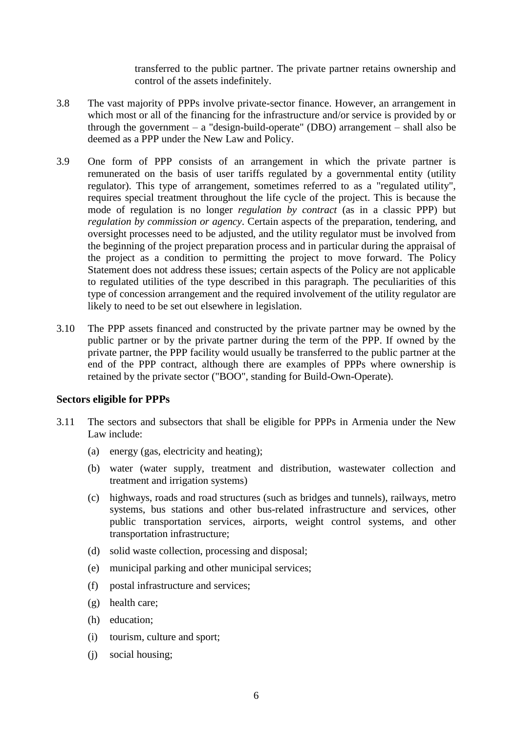transferred to the public partner. The private partner retains ownership and control of the assets indefinitely.

- <span id="page-8-1"></span>3.8 The vast majority of PPPs involve private-sector finance. However, an arrangement in which most or all of the financing for the infrastructure and/or service is provided by or through the government – a "design-build-operate" (DBO) arrangement – shall also be deemed as a PPP under the New Law and Policy.
- 3.9 One form of PPP consists of an arrangement in which the private partner is remunerated on the basis of user tariffs regulated by a governmental entity (utility regulator). This type of arrangement, sometimes referred to as a "regulated utility", requires special treatment throughout the life cycle of the project. This is because the mode of regulation is no longer *regulation by contract* (as in a classic PPP) but *regulation by commission or agency*. Certain aspects of the preparation, tendering, and oversight processes need to be adjusted, and the utility regulator must be involved from the beginning of the project preparation process and in particular during the appraisal of the project as a condition to permitting the project to move forward. The Policy Statement does not address these issues; certain aspects of the Policy are not applicable to regulated utilities of the type described in this paragraph. The peculiarities of this type of concession arrangement and the required involvement of the utility regulator are likely to need to be set out elsewhere in legislation.
- 3.10 The PPP assets financed and constructed by the private partner may be owned by the public partner or by the private partner during the term of the PPP. If owned by the private partner, the PPP facility would usually be transferred to the public partner at the end of the PPP contract, although there are examples of PPPs where ownership is retained by the private sector ("BOO", standing for Build-Own-Operate).

#### <span id="page-8-0"></span>**Sectors eligible for PPPs**

- 3.11 The sectors and subsectors that shall be eligible for PPPs in Armenia under the New Law include:
	- (a) energy (gas, electricity and heating);
	- (b) water (water supply, treatment and distribution, wastewater collection and treatment and irrigation systems)
	- (c) highways, roads and road structures (such as bridges and tunnels), railways, metro systems, bus stations and other bus-related infrastructure and services, other public transportation services, airports, weight control systems, and other transportation infrastructure;
	- (d) solid waste collection, processing and disposal;
	- (e) municipal parking and other municipal services;
	- (f) postal infrastructure and services;
	- (g) health care;
	- (h) education;
	- (i) tourism, culture and sport;
	- (j) social housing;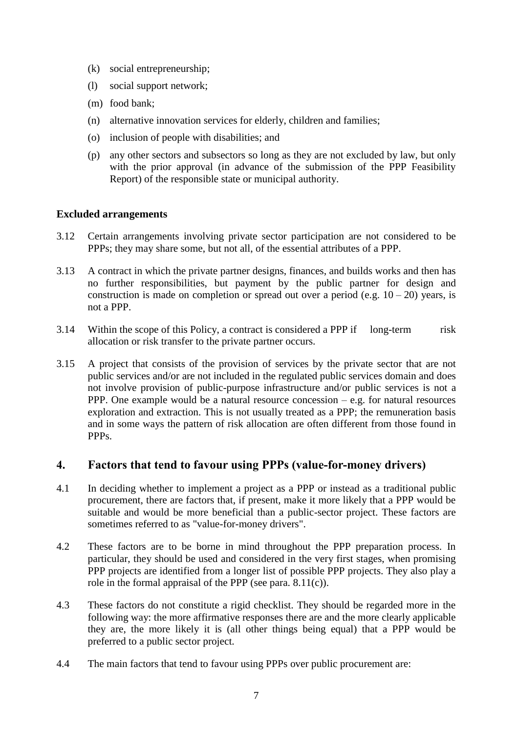- (k) social entrepreneurship;
- (l) social support network;
- (m) food bank;
- (n) alternative innovation services for elderly, children and families;
- (o) inclusion of people with disabilities; and
- (p) any other sectors and subsectors so long as they are not excluded by law, but only with the prior approval (in advance of the submission of the PPP Feasibility Report) of the responsible state or municipal authority.

#### <span id="page-9-0"></span>**Excluded arrangements**

- 3.12 Certain arrangements involving private sector participation are not considered to be PPPs; they may share some, but not all, of the essential attributes of a PPP.
- 3.13 A contract in which the private partner designs, finances, and builds works and then has no further responsibilities, but payment by the public partner for design and construction is made on completion or spread out over a period (e.g.  $10 - 20$ ) years, is not a PPP.
- 3.14 Within the scope of this Policy, a contract is considered a PPP if long-term risk allocation or risk transfer to the private partner occurs.
- 3.15 A project that consists of the provision of services by the private sector that are not public services and/or are not included in the regulated public services domain and does not involve provision of public-purpose infrastructure and/or public services is not a PPP. One example would be a natural resource concession – e.g. for natural resources exploration and extraction. This is not usually treated as a PPP; the remuneration basis and in some ways the pattern of risk allocation are often different from those found in PPPs.

## <span id="page-9-1"></span>**4. Factors that tend to favour using PPPs (value-for-money drivers)**

- 4.1 In deciding whether to implement a project as a PPP or instead as a traditional public procurement, there are factors that, if present, make it more likely that a PPP would be suitable and would be more beneficial than a public-sector project. These factors are sometimes referred to as "value-for-money drivers".
- 4.2 These factors are to be borne in mind throughout the PPP preparation process. In particular, they should be used and considered in the very first stages, when promising PPP projects are identified from a longer list of possible PPP projects. They also play a role in the formal appraisal of the PPP (see para. [8.11\(c\)\)](#page-16-0).
- 4.3 These factors do not constitute a rigid checklist. They should be regarded more in the following way: the more affirmative responses there are and the more clearly applicable they are, the more likely it is (all other things being equal) that a PPP would be preferred to a public sector project.
- 4.4 The main factors that tend to favour using PPPs over public procurement are: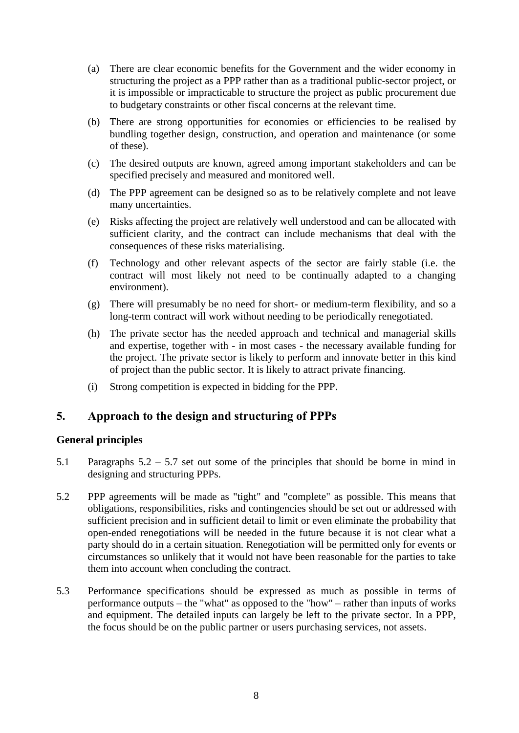- (a) There are clear economic benefits for the Government and the wider economy in structuring the project as a PPP rather than as a traditional public-sector project, or it is impossible or impracticable to structure the project as public procurement due to budgetary constraints or other fiscal concerns at the relevant time.
- (b) There are strong opportunities for economies or efficiencies to be realised by bundling together design, construction, and operation and maintenance (or some of these).
- (c) The desired outputs are known, agreed among important stakeholders and can be specified precisely and measured and monitored well.
- (d) The PPP agreement can be designed so as to be relatively complete and not leave many uncertainties.
- (e) Risks affecting the project are relatively well understood and can be allocated with sufficient clarity, and the contract can include mechanisms that deal with the consequences of these risks materialising.
- (f) Technology and other relevant aspects of the sector are fairly stable (i.e. the contract will most likely not need to be continually adapted to a changing environment).
- (g) There will presumably be no need for short- or medium-term flexibility, and so a long-term contract will work without needing to be periodically renegotiated.
- (h) The private sector has the needed approach and technical and managerial skills and expertise, together with - in most cases - the necessary available funding for the project. The private sector is likely to perform and innovate better in this kind of project than the public sector. It is likely to attract private financing.
- (i) Strong competition is expected in bidding for the PPP.

## <span id="page-10-0"></span>**5. Approach to the design and structuring of PPPs**

## <span id="page-10-1"></span>**General principles**

- 5.1 Paragraphs [5.2](#page-10-2) [5.7](#page-11-3) set out some of the principles that should be borne in mind in designing and structuring PPPs.
- <span id="page-10-2"></span>5.2 PPP agreements will be made as "tight" and "complete" as possible. This means that obligations, responsibilities, risks and contingencies should be set out or addressed with sufficient precision and in sufficient detail to limit or even eliminate the probability that open-ended renegotiations will be needed in the future because it is not clear what a party should do in a certain situation. Renegotiation will be permitted only for events or circumstances so unlikely that it would not have been reasonable for the parties to take them into account when concluding the contract.
- 5.3 Performance specifications should be expressed as much as possible in terms of performance outputs – the "what" as opposed to the "how" – rather than inputs of works and equipment. The detailed inputs can largely be left to the private sector. In a PPP, the focus should be on the public partner or users purchasing services, not assets.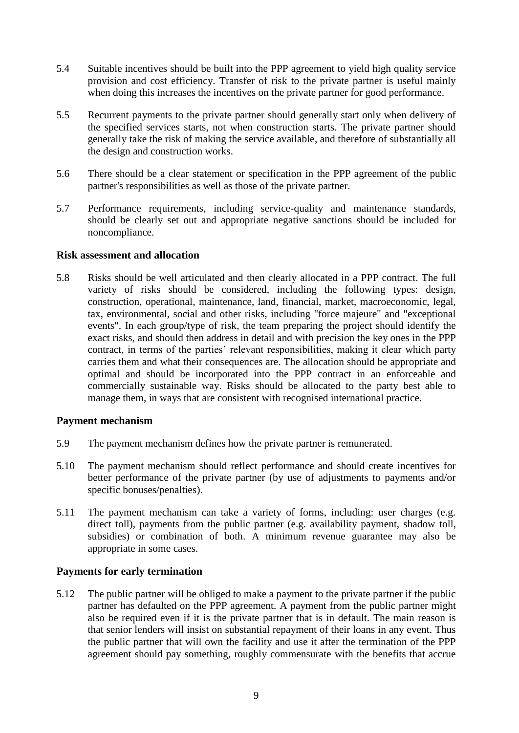- 5.4 Suitable incentives should be built into the PPP agreement to yield high quality service provision and cost efficiency. Transfer of risk to the private partner is useful mainly when doing this increases the incentives on the private partner for good performance.
- 5.5 Recurrent payments to the private partner should generally start only when delivery of the specified services starts, not when construction starts. The private partner should generally take the risk of making the service available, and therefore of substantially all the design and construction works.
- 5.6 There should be a clear statement or specification in the PPP agreement of the public partner's responsibilities as well as those of the private partner.
- <span id="page-11-3"></span>5.7 Performance requirements, including service-quality and maintenance standards, should be clearly set out and appropriate negative sanctions should be included for noncompliance.

#### <span id="page-11-0"></span>**Risk assessment and allocation**

5.8 Risks should be well articulated and then clearly allocated in a PPP contract. The full variety of risks should be considered, including the following types: design, construction, operational, maintenance, land, financial, market, macroeconomic, legal, tax, environmental, social and other risks, including "force majeure" and "exceptional events". In each group/type of risk, the team preparing the project should identify the exact risks, and should then address in detail and with precision the key ones in the PPP contract, in terms of the parties' relevant responsibilities, making it clear which party carries them and what their consequences are. The allocation should be appropriate and optimal and should be incorporated into the PPP contract in an enforceable and commercially sustainable way. Risks should be allocated to the party best able to manage them, in ways that are consistent with recognised international practice.

#### <span id="page-11-1"></span>**Payment mechanism**

- 5.9 The payment mechanism defines how the private partner is remunerated.
- 5.10 The payment mechanism should reflect performance and should create incentives for better performance of the private partner (by use of adjustments to payments and/or specific bonuses/penalties).
- 5.11 The payment mechanism can take a variety of forms, including: user charges (e.g. direct toll), payments from the public partner (e.g. availability payment, shadow toll, subsidies) or combination of both. A minimum revenue guarantee may also be appropriate in some cases.

## <span id="page-11-2"></span>**Payments for early termination**

5.12 The public partner will be obliged to make a payment to the private partner if the public partner has defaulted on the PPP agreement. A payment from the public partner might also be required even if it is the private partner that is in default. The main reason is that senior lenders will insist on substantial repayment of their loans in any event. Thus the public partner that will own the facility and use it after the termination of the PPP agreement should pay something, roughly commensurate with the benefits that accrue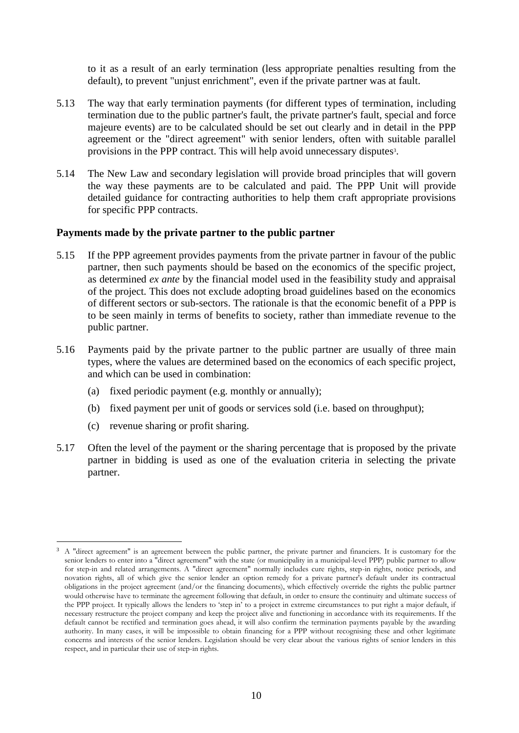to it as a result of an early termination (less appropriate penalties resulting from the default), to prevent "unjust enrichment", even if the private partner was at fault.

- 5.13 The way that early termination payments (for different types of termination, including termination due to the public partner's fault, the private partner's fault, special and force majeure events) are to be calculated should be set out clearly and in detail in the PPP agreement or the "direct agreement" with senior lenders, often with suitable parallel provisions in the PPP contract. This will help avoid unnecessary disputes<sup>3</sup>.
- 5.14 The New Law and secondary legislation will provide broad principles that will govern the way these payments are to be calculated and paid. The PPP Unit will provide detailed guidance for contracting authorities to help them craft appropriate provisions for specific PPP contracts.

#### <span id="page-12-0"></span>**Payments made by the private partner to the public partner**

- 5.15 If the PPP agreement provides payments from the private partner in favour of the public partner, then such payments should be based on the economics of the specific project, as determined *ex ante* by the financial model used in the feasibility study and appraisal of the project. This does not exclude adopting broad guidelines based on the economics of different sectors or sub-sectors. The rationale is that the economic benefit of a PPP is to be seen mainly in terms of benefits to society, rather than immediate revenue to the public partner.
- 5.16 Payments paid by the private partner to the public partner are usually of three main types, where the values are determined based on the economics of each specific project, and which can be used in combination:
	- (a) fixed periodic payment (e.g. monthly or annually);
	- (b) fixed payment per unit of goods or services sold (i.e. based on throughput);
	- (c) revenue sharing or profit sharing.

 $\overline{a}$ 

5.17 Often the level of the payment or the sharing percentage that is proposed by the private partner in bidding is used as one of the evaluation criteria in selecting the private partner.

<sup>&</sup>lt;sup>3</sup> A "direct agreement" is an agreement between the public partner, the private partner and financiers. It is customary for the senior lenders to enter into a "direct agreement" with the state (or municipality in a municipal-level PPP) public partner to allow for step-in and related arrangements. A "direct agreement" normally includes cure rights, step-in rights, notice periods, and novation rights, all of which give the senior lender an option remedy for a private partner's default under its contractual obligations in the project agreement (and/or the financing documents), which effectively override the rights the public partner would otherwise have to terminate the agreement following that default, in order to ensure the continuity and ultimate success of the PPP project. It typically allows the lenders to 'step in' to a project in extreme circumstances to put right a major default, if necessary restructure the project company and keep the project alive and functioning in accordance with its requirements. If the default cannot be rectified and termination goes ahead, it will also confirm the termination payments payable by the awarding authority. In many cases, it will be impossible to obtain financing for a PPP without recognising these and other legitimate concerns and interests of the senior lenders. Legislation should be very clear about the various rights of senior lenders in this respect, and in particular their use of step-in rights.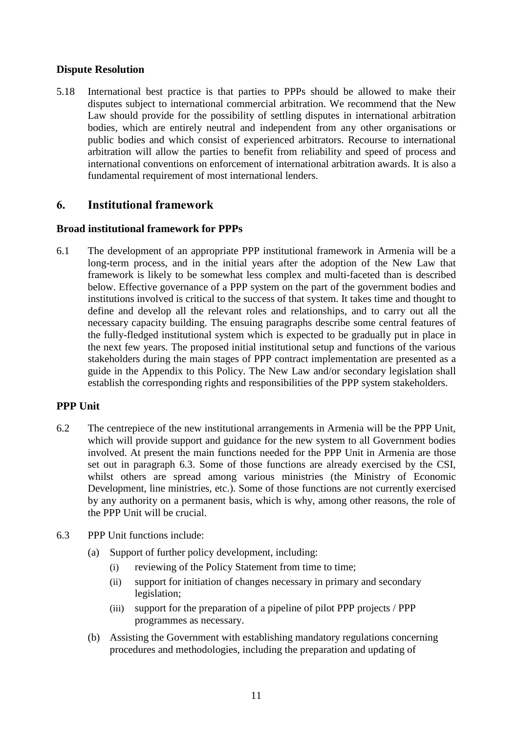## **Dispute Resolution**

5.18 International best practice is that parties to PPPs should be allowed to make their disputes subject to international commercial arbitration. We recommend that the New Law should provide for the possibility of settling disputes in international arbitration bodies, which are entirely neutral and independent from any other organisations or public bodies and which consist of experienced arbitrators. Recourse to international arbitration will allow the parties to benefit from reliability and speed of process and international conventions on enforcement of international arbitration awards. It is also a fundamental requirement of most international lenders.

## <span id="page-13-0"></span>**6. Institutional framework**

## <span id="page-13-1"></span>**Broad institutional framework for PPPs**

6.1 The development of an appropriate PPP institutional framework in Armenia will be a long-term process, and in the initial years after the adoption of the New Law that framework is likely to be somewhat less complex and multi-faceted than is described below. Effective governance of a PPP system on the part of the government bodies and institutions involved is critical to the success of that system. It takes time and thought to define and develop all the relevant roles and relationships, and to carry out all the necessary capacity building. The ensuing paragraphs describe some central features of the fully-fledged institutional system which is expected to be gradually put in place in the next few years. The proposed initial institutional setup and functions of the various stakeholders during the main stages of PPP contract implementation are presented as a guide in the Appendix to this Policy. The New Law and/or secondary legislation shall establish the corresponding rights and responsibilities of the PPP system stakeholders.

## <span id="page-13-2"></span>**PPP Unit**

- 6.2 The centrepiece of the new institutional arrangements in Armenia will be the PPP Unit, which will provide support and guidance for the new system to all Government bodies involved. At present the main functions needed for the PPP Unit in Armenia are those set out in paragraph [6.3.](#page-13-3) Some of those functions are already exercised by the CSI, whilst others are spread among various ministries (the Ministry of Economic Development, line ministries, etc.). Some of those functions are not currently exercised by any authority on a permanent basis, which is why, among other reasons, the role of the PPP Unit will be crucial.
- <span id="page-13-3"></span>6.3 PPP Unit functions include:
	- (a) Support of further policy development, including:
		- (i) reviewing of the Policy Statement from time to time;
		- (ii) support for initiation of changes necessary in primary and secondary legislation;
		- (iii) support for the preparation of a pipeline of pilot PPP projects / PPP programmes as necessary.
	- (b) Assisting the Government with establishing mandatory regulations concerning procedures and methodologies, including the preparation and updating of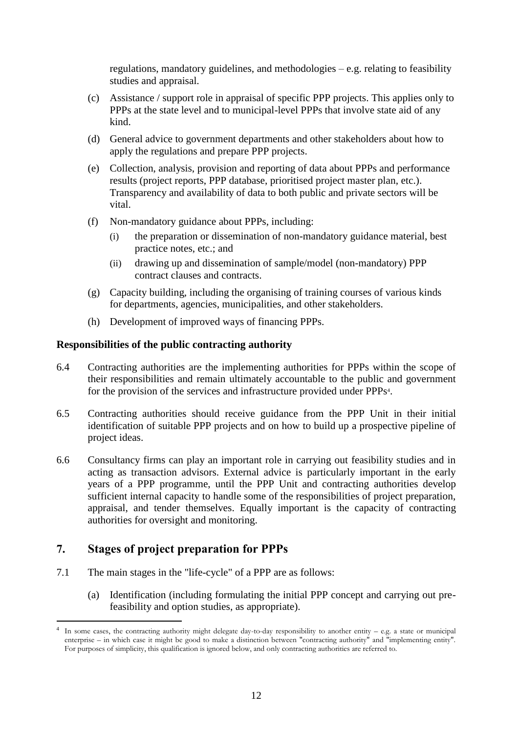regulations, mandatory guidelines, and methodologies  $-e.g.$  relating to feasibility studies and appraisal.

- (c) Assistance / support role in appraisal of specific PPP projects. This applies only to PPPs at the state level and to municipal-level PPPs that involve state aid of any kind.
- (d) General advice to government departments and other stakeholders about how to apply the regulations and prepare PPP projects.
- <span id="page-14-2"></span>(e) Collection, analysis, provision and reporting of data about PPPs and performance results (project reports, PPP database, prioritised project master plan, etc.). Transparency and availability of data to both public and private sectors will be vital.
- (f) Non-mandatory guidance about PPPs, including:
	- (i) the preparation or dissemination of non-mandatory guidance material, best practice notes, etc.; and
	- (ii) drawing up and dissemination of sample/model (non-mandatory) PPP contract clauses and contracts.
- (g) Capacity building, including the organising of training courses of various kinds for departments, agencies, municipalities, and other stakeholders.
- (h) Development of improved ways of financing PPPs.

#### <span id="page-14-0"></span>**Responsibilities of the public contracting authority**

- 6.4 Contracting authorities are the implementing authorities for PPPs within the scope of their responsibilities and remain ultimately accountable to the public and government for the provision of the services and infrastructure provided under PPPs<sup>4</sup>.
- 6.5 Contracting authorities should receive guidance from the PPP Unit in their initial identification of suitable PPP projects and on how to build up a prospective pipeline of project ideas.
- 6.6 Consultancy firms can play an important role in carrying out feasibility studies and in acting as transaction advisors. External advice is particularly important in the early years of a PPP programme, until the PPP Unit and contracting authorities develop sufficient internal capacity to handle some of the responsibilities of project preparation, appraisal, and tender themselves. Equally important is the capacity of contracting authorities for oversight and monitoring.

## <span id="page-14-1"></span>**7. Stages of project preparation for PPPs**

 $\overline{a}$ 

- 7.1 The main stages in the "life-cycle" of a PPP are as follows:
	- (a) Identification (including formulating the initial PPP concept and carrying out prefeasibility and option studies, as appropriate).

<sup>4</sup> In some cases, the contracting authority might delegate day-to-day responsibility to another entity – e.g. a state or municipal enterprise – in which case it might be good to make a distinction between "contracting authority" and "implementing entity". For purposes of simplicity, this qualification is ignored below, and only contracting authorities are referred to.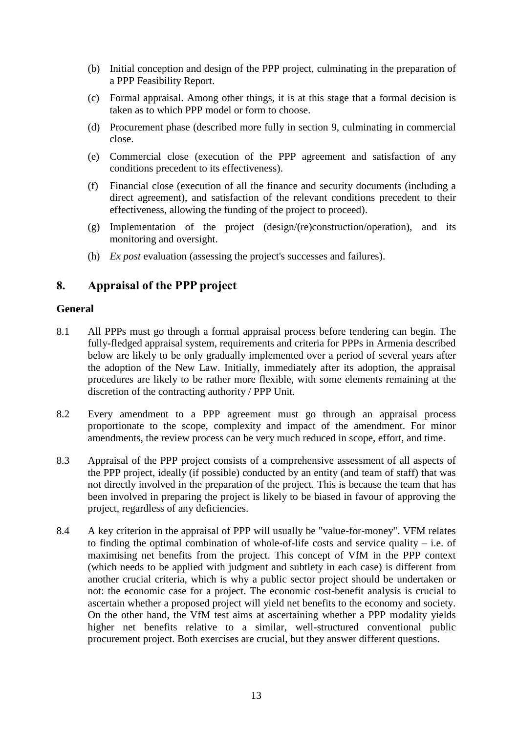- (b) Initial conception and design of the PPP project, culminating in the preparation of a PPP Feasibility Report.
- (c) Formal appraisal. Among other things, it is at this stage that a formal decision is taken as to which PPP model or form to choose.
- (d) Procurement phase (described more fully in section [9,](#page-18-0) culminating in commercial close.
- (e) Commercial close (execution of the PPP agreement and satisfaction of any conditions precedent to its effectiveness).
- (f) Financial close (execution of all the finance and security documents (including a direct agreement), and satisfaction of the relevant conditions precedent to their effectiveness, allowing the funding of the project to proceed).
- (g) Implementation of the project (design/(re)construction/operation), and its monitoring and oversight.
- (h) *Ex post* evaluation (assessing the project's successes and failures).

## <span id="page-15-0"></span>**8. Appraisal of the PPP project**

#### <span id="page-15-1"></span>**General**

- 8.1 All PPPs must go through a formal appraisal process before tendering can begin. The fully-fledged appraisal system, requirements and criteria for PPPs in Armenia described below are likely to be only gradually implemented over a period of several years after the adoption of the New Law. Initially, immediately after its adoption, the appraisal procedures are likely to be rather more flexible, with some elements remaining at the discretion of the contracting authority / PPP Unit.
- 8.2 Every amendment to a PPP agreement must go through an appraisal process proportionate to the scope, complexity and impact of the amendment. For minor amendments, the review process can be very much reduced in scope, effort, and time.
- 8.3 Appraisal of the PPP project consists of a comprehensive assessment of all aspects of the PPP project, ideally (if possible) conducted by an entity (and team of staff) that was not directly involved in the preparation of the project. This is because the team that has been involved in preparing the project is likely to be biased in favour of approving the project, regardless of any deficiencies.
- <span id="page-15-2"></span>8.4 A key criterion in the appraisal of PPP will usually be "value-for-money". VFM relates to finding the optimal combination of whole-of-life costs and service quality  $-$  i.e. of maximising net benefits from the project. This concept of VfM in the PPP context (which needs to be applied with judgment and subtlety in each case) is different from another crucial criteria, which is why a public sector project should be undertaken or not: the economic case for a project. The economic cost-benefit analysis is crucial to ascertain whether a proposed project will yield net benefits to the economy and society. On the other hand, the VfM test aims at ascertaining whether a PPP modality yields higher net benefits relative to a similar, well-structured conventional public procurement project. Both exercises are crucial, but they answer different questions.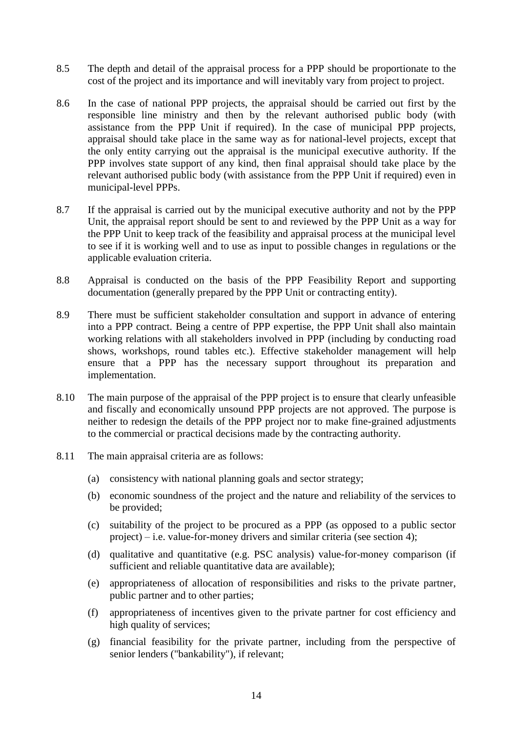- 8.5 The depth and detail of the appraisal process for a PPP should be proportionate to the cost of the project and its importance and will inevitably vary from project to project.
- 8.6 In the case of national PPP projects, the appraisal should be carried out first by the responsible line ministry and then by the relevant authorised public body (with assistance from the PPP Unit if required). In the case of municipal PPP projects, appraisal should take place in the same way as for national-level projects, except that the only entity carrying out the appraisal is the municipal executive authority. If the PPP involves state support of any kind, then final appraisal should take place by the relevant authorised public body (with assistance from the PPP Unit if required) even in municipal-level PPPs.
- 8.7 If the appraisal is carried out by the municipal executive authority and not by the PPP Unit, the appraisal report should be sent to and reviewed by the PPP Unit as a way for the PPP Unit to keep track of the feasibility and appraisal process at the municipal level to see if it is working well and to use as input to possible changes in regulations or the applicable evaluation criteria.
- 8.8 Appraisal is conducted on the basis of the PPP Feasibility Report and supporting documentation (generally prepared by the PPP Unit or contracting entity).
- 8.9 There must be sufficient stakeholder consultation and support in advance of entering into a PPP contract. Being a centre of PPP expertise, the PPP Unit shall also maintain working relations with all stakeholders involved in PPP (including by conducting road shows, workshops, round tables etc.). Effective stakeholder management will help ensure that a PPP has the necessary support throughout its preparation and implementation.
- 8.10 The main purpose of the appraisal of the PPP project is to ensure that clearly unfeasible and fiscally and economically unsound PPP projects are not approved. The purpose is neither to redesign the details of the PPP project nor to make fine-grained adjustments to the commercial or practical decisions made by the contracting authority.
- <span id="page-16-0"></span>8.11 The main appraisal criteria are as follows:
	- (a) consistency with national planning goals and sector strategy;
	- (b) economic soundness of the project and the nature and reliability of the services to be provided;
	- (c) suitability of the project to be procured as a PPP (as opposed to a public sector project) – i.e. value-for-money drivers and similar criteria (see section [4\)](#page-9-1);
	- (d) qualitative and quantitative (e.g. PSC analysis) value-for-money comparison (if sufficient and reliable quantitative data are available);
	- (e) appropriateness of allocation of responsibilities and risks to the private partner, public partner and to other parties;
	- (f) appropriateness of incentives given to the private partner for cost efficiency and high quality of services;
	- (g) financial feasibility for the private partner, including from the perspective of senior lenders ("bankability"), if relevant;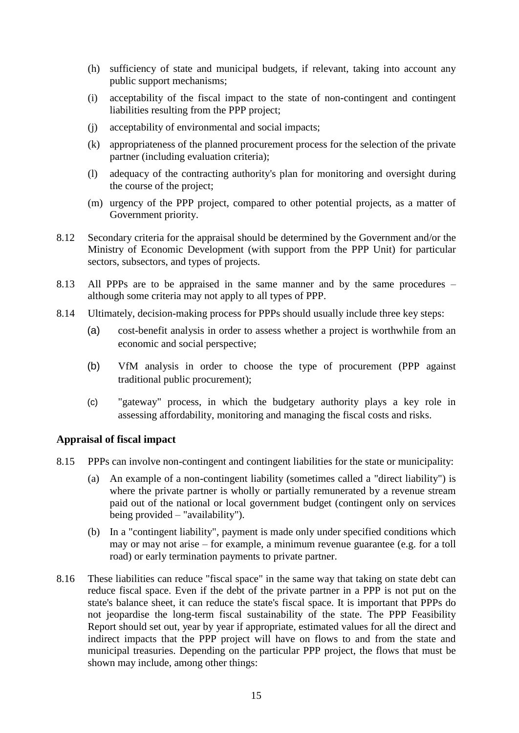- (h) sufficiency of state and municipal budgets, if relevant, taking into account any public support mechanisms;
- (i) acceptability of the fiscal impact to the state of non-contingent and contingent liabilities resulting from the PPP project;
- (j) acceptability of environmental and social impacts;
- (k) appropriateness of the planned procurement process for the selection of the private partner (including evaluation criteria);
- (l) adequacy of the contracting authority's plan for monitoring and oversight during the course of the project;
- (m) urgency of the PPP project, compared to other potential projects, as a matter of Government priority.
- 8.12 Secondary criteria for the appraisal should be determined by the Government and/or the Ministry of Economic Development (with support from the PPP Unit) for particular sectors, subsectors, and types of projects.
- 8.13 All PPPs are to be appraised in the same manner and by the same procedures although some criteria may not apply to all types of PPP.
- 8.14 Ultimately, decision-making process for PPPs should usually include three key steps:
	- (a) cost-benefit analysis in order to assess whether a project is worthwhile from an economic and social perspective;
	- (b) VfM analysis in order to choose the type of procurement (PPP against traditional public procurement);
	- (c) "gateway" process, in which the budgetary authority plays a key role in assessing affordability, monitoring and managing the fiscal costs and risks.

## <span id="page-17-0"></span>**Appraisal of fiscal impact**

- 8.15 PPPs can involve non-contingent and contingent liabilities for the state or municipality:
	- (a) An example of a non-contingent liability (sometimes called a "direct liability") is where the private partner is wholly or partially remunerated by a revenue stream paid out of the national or local government budget (contingent only on services being provided – "availability").
	- (b) In a "contingent liability", payment is made only under specified conditions which may or may not arise – for example, a minimum revenue guarantee (e.g. for a toll road) or early termination payments to private partner.
- 8.16 These liabilities can reduce "fiscal space" in the same way that taking on state debt can reduce fiscal space. Even if the debt of the private partner in a PPP is not put on the state's balance sheet, it can reduce the state's fiscal space. It is important that PPPs do not jeopardise the long-term fiscal sustainability of the state. The PPP Feasibility Report should set out, year by year if appropriate, estimated values for all the direct and indirect impacts that the PPP project will have on flows to and from the state and municipal treasuries. Depending on the particular PPP project, the flows that must be shown may include, among other things: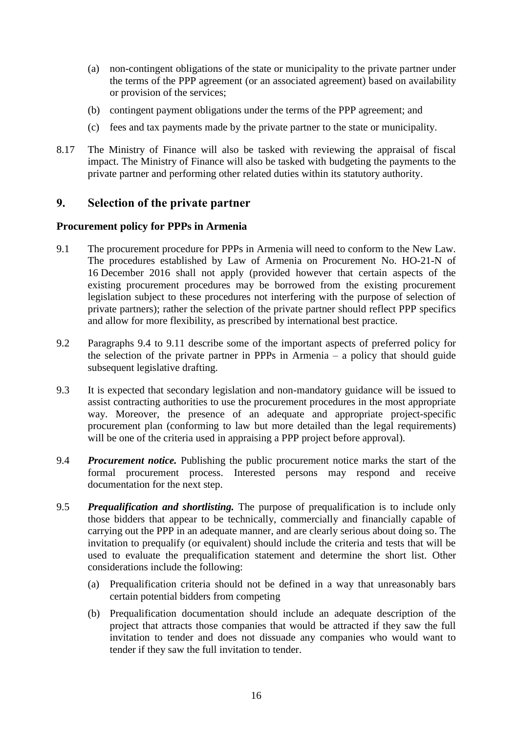- (a) non-contingent obligations of the state or municipality to the private partner under the terms of the PPP agreement (or an associated agreement) based on availability or provision of the services;
- (b) contingent payment obligations under the terms of the PPP agreement; and
- (c) fees and tax payments made by the private partner to the state or municipality.
- 8.17 The Ministry of Finance will also be tasked with reviewing the appraisal of fiscal impact. The Ministry of Finance will also be tasked with budgeting the payments to the private partner and performing other related duties within its statutory authority.

## <span id="page-18-0"></span>**9. Selection of the private partner**

#### <span id="page-18-1"></span>**Procurement policy for PPPs in Armenia**

- 9.1 The procurement procedure for PPPs in Armenia will need to conform to the New Law. The procedures established by Law of Armenia on Procurement No. HO-21-N of 16 December 2016 shall not apply (provided however that certain aspects of the existing procurement procedures may be borrowed from the existing procurement legislation subject to these procedures not interfering with the purpose of selection of private partners); rather the selection of the private partner should reflect PPP specifics and allow for more flexibility, as prescribed by international best practice.
- 9.2 Paragraphs [9.4](#page-18-2) to [9.11](#page-19-0) describe some of the important aspects of preferred policy for the selection of the private partner in PPPs in Armenia – a policy that should guide subsequent legislative drafting.
- 9.3 It is expected that secondary legislation and non-mandatory guidance will be issued to assist contracting authorities to use the procurement procedures in the most appropriate way. Moreover, the presence of an adequate and appropriate project-specific procurement plan (conforming to law but more detailed than the legal requirements) will be one of the criteria used in appraising a PPP project before approval).
- <span id="page-18-2"></span>9.4 *Procurement notice.* Publishing the public procurement notice marks the start of the formal procurement process. Interested persons may respond and receive documentation for the next step.
- 9.5 *Prequalification and shortlisting.* The purpose of prequalification is to include only those bidders that appear to be technically, commercially and financially capable of carrying out the PPP in an adequate manner, and are clearly serious about doing so. The invitation to prequalify (or equivalent) should include the criteria and tests that will be used to evaluate the prequalification statement and determine the short list. Other considerations include the following:
	- (a) Prequalification criteria should not be defined in a way that unreasonably bars certain potential bidders from competing
	- (b) Prequalification documentation should include an adequate description of the project that attracts those companies that would be attracted if they saw the full invitation to tender and does not dissuade any companies who would want to tender if they saw the full invitation to tender.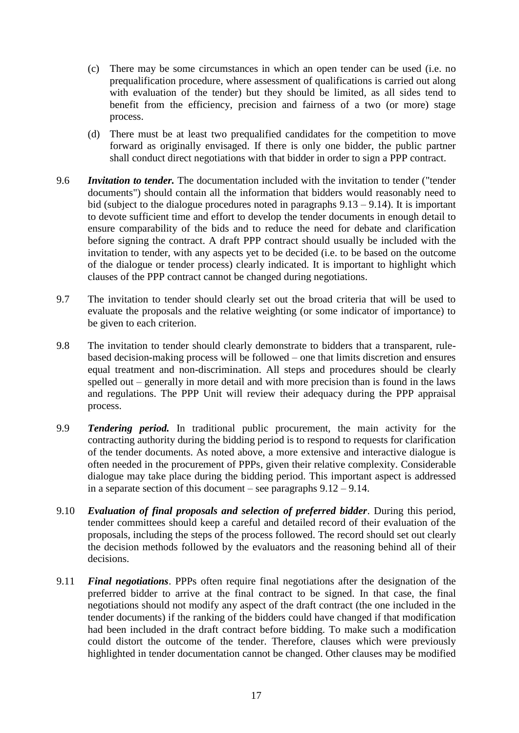- (c) There may be some circumstances in which an open tender can be used (i.e. no prequalification procedure, where assessment of qualifications is carried out along with evaluation of the tender) but they should be limited, as all sides tend to benefit from the efficiency, precision and fairness of a two (or more) stage process.
- (d) There must be at least two prequalified candidates for the competition to move forward as originally envisaged. If there is only one bidder, the public partner shall conduct direct negotiations with that bidder in order to sign a PPP contract.
- 9.6 *Invitation to tender.* The documentation included with the invitation to tender ("tender documents") should contain all the information that bidders would reasonably need to bid (subject to the dialogue procedures noted in paragraphs  $9.13 - 9.14$  $9.13 - 9.14$ ). It is important to devote sufficient time and effort to develop the tender documents in enough detail to ensure comparability of the bids and to reduce the need for debate and clarification before signing the contract. A draft PPP contract should usually be included with the invitation to tender, with any aspects yet to be decided (i.e. to be based on the outcome of the dialogue or tender process) clearly indicated. It is important to highlight which clauses of the PPP contract cannot be changed during negotiations.
- 9.7 The invitation to tender should clearly set out the broad criteria that will be used to evaluate the proposals and the relative weighting (or some indicator of importance) to be given to each criterion.
- 9.8 The invitation to tender should clearly demonstrate to bidders that a transparent, rulebased decision-making process will be followed – one that limits discretion and ensures equal treatment and non-discrimination. All steps and procedures should be clearly spelled out – generally in more detail and with more precision than is found in the laws and regulations. The PPP Unit will review their adequacy during the PPP appraisal process.
- 9.9 *Tendering period.* In traditional public procurement, the main activity for the contracting authority during the bidding period is to respond to requests for clarification of the tender documents. As noted above, a more extensive and interactive dialogue is often needed in the procurement of PPPs, given their relative complexity. Considerable dialogue may take place during the bidding period. This important aspect is addressed in a separate section of this document – see paragraphs [9.12](#page-20-3) – [9.14.](#page-20-2)
- 9.10 *Evaluation of final proposals and selection of preferred bidder*. During this period, tender committees should keep a careful and detailed record of their evaluation of the proposals, including the steps of the process followed. The record should set out clearly the decision methods followed by the evaluators and the reasoning behind all of their decisions.
- <span id="page-19-0"></span>9.11 *Final negotiations*. PPPs often require final negotiations after the designation of the preferred bidder to arrive at the final contract to be signed. In that case, the final negotiations should not modify any aspect of the draft contract (the one included in the tender documents) if the ranking of the bidders could have changed if that modification had been included in the draft contract before bidding. To make such a modification could distort the outcome of the tender. Therefore, clauses which were previously highlighted in tender documentation cannot be changed. Other clauses may be modified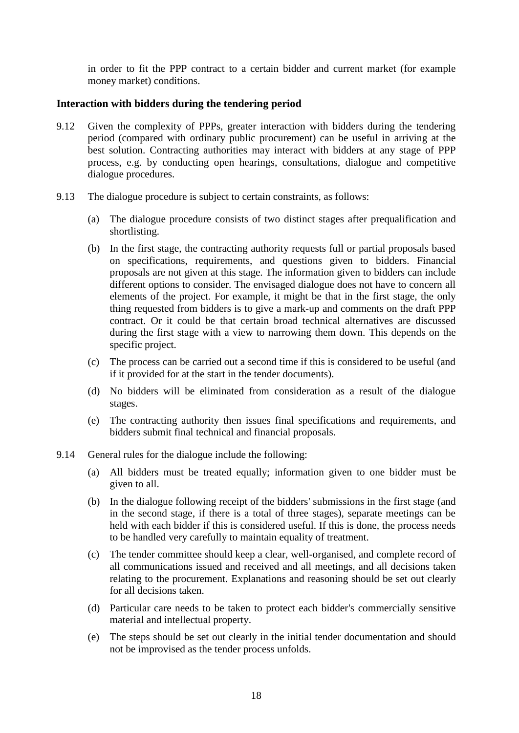in order to fit the PPP contract to a certain bidder and current market (for example money market) conditions.

#### <span id="page-20-0"></span>**Interaction with bidders during the tendering period**

- <span id="page-20-3"></span>9.12 Given the complexity of PPPs, greater interaction with bidders during the tendering period (compared with ordinary public procurement) can be useful in arriving at the best solution. Contracting authorities may interact with bidders at any stage of PPP process, e.g. by conducting open hearings, consultations, dialogue and competitive dialogue procedures.
- <span id="page-20-1"></span>9.13 The dialogue procedure is subject to certain constraints, as follows:
	- (a) The dialogue procedure consists of two distinct stages after prequalification and shortlisting.
	- (b) In the first stage, the contracting authority requests full or partial proposals based on specifications, requirements, and questions given to bidders. Financial proposals are not given at this stage. The information given to bidders can include different options to consider. The envisaged dialogue does not have to concern all elements of the project. For example, it might be that in the first stage, the only thing requested from bidders is to give a mark-up and comments on the draft PPP contract. Or it could be that certain broad technical alternatives are discussed during the first stage with a view to narrowing them down. This depends on the specific project.
	- (c) The process can be carried out a second time if this is considered to be useful (and if it provided for at the start in the tender documents).
	- (d) No bidders will be eliminated from consideration as a result of the dialogue stages.
	- (e) The contracting authority then issues final specifications and requirements, and bidders submit final technical and financial proposals.
- <span id="page-20-2"></span>9.14 General rules for the dialogue include the following:
	- (a) All bidders must be treated equally; information given to one bidder must be given to all.
	- (b) In the dialogue following receipt of the bidders' submissions in the first stage (and in the second stage, if there is a total of three stages), separate meetings can be held with each bidder if this is considered useful. If this is done, the process needs to be handled very carefully to maintain equality of treatment.
	- (c) The tender committee should keep a clear, well-organised, and complete record of all communications issued and received and all meetings, and all decisions taken relating to the procurement. Explanations and reasoning should be set out clearly for all decisions taken.
	- (d) Particular care needs to be taken to protect each bidder's commercially sensitive material and intellectual property.
	- (e) The steps should be set out clearly in the initial tender documentation and should not be improvised as the tender process unfolds.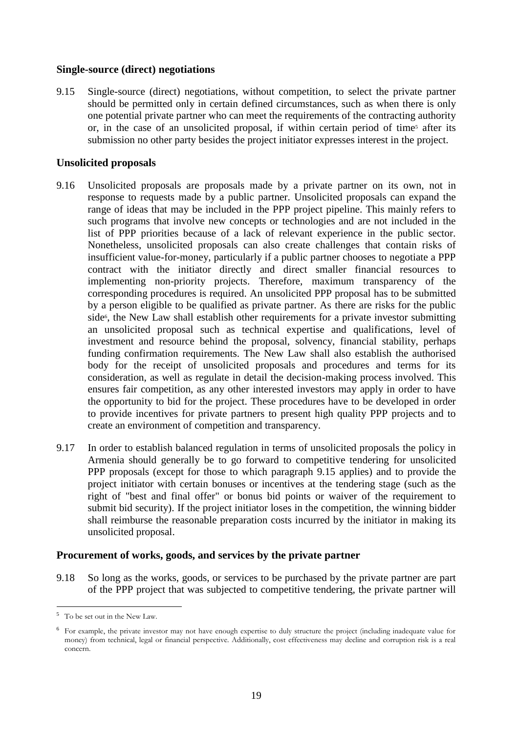#### <span id="page-21-0"></span>**Single-source (direct) negotiations**

<span id="page-21-3"></span>9.15 Single-source (direct) negotiations, without competition, to select the private partner should be permitted only in certain defined circumstances, such as when there is only one potential private partner who can meet the requirements of the contracting authority or, in the case of an unsolicited proposal, if within certain period of time<sup>5</sup> after its submission no other party besides the project initiator expresses interest in the project.

#### <span id="page-21-1"></span>**Unsolicited proposals**

- 9.16 Unsolicited proposals are proposals made by a private partner on its own, not in response to requests made by a public partner. Unsolicited proposals can expand the range of ideas that may be included in the PPP project pipeline. This mainly refers to such programs that involve new concepts or technologies and are not included in the list of PPP priorities because of a lack of relevant experience in the public sector. Nonetheless, unsolicited proposals can also create challenges that contain risks of insufficient value-for-money, particularly if a public partner chooses to negotiate a PPP contract with the initiator directly and direct smaller financial resources to implementing non-priority projects. Therefore, maximum transparency of the corresponding procedures is required. An unsolicited PPP proposal has to be submitted by a person eligible to be qualified as private partner. As there are risks for the public side<sup>6</sup>, the New Law shall establish other requirements for a private investor submitting an unsolicited proposal such as technical expertise and qualifications, level of investment and resource behind the proposal, solvency, financial stability, perhaps funding confirmation requirements. The New Law shall also establish the authorised body for the receipt of unsolicited proposals and procedures and terms for its consideration, as well as regulate in detail the decision-making process involved. This ensures fair competition, as any other interested investors may apply in order to have the opportunity to bid for the project. These procedures have to be developed in order to provide incentives for private partners to present high quality PPP projects and to create an environment of competition and transparency.
- 9.17 In order to establish balanced regulation in terms of unsolicited proposals the policy in Armenia should generally be to go forward to competitive tendering for unsolicited PPP proposals (except for those to which paragraph [9.15](#page-21-3) applies) and to provide the project initiator with certain bonuses or incentives at the tendering stage (such as the right of "best and final offer" or bonus bid points or waiver of the requirement to submit bid security). If the project initiator loses in the competition, the winning bidder shall reimburse the reasonable preparation costs incurred by the initiator in making its unsolicited proposal.

#### <span id="page-21-2"></span>**Procurement of works, goods, and services by the private partner**

9.18 So long as the works, goods, or services to be purchased by the private partner are part of the PPP project that was subjected to competitive tendering, the private partner will

 $\overline{a}$ <sup>5</sup> To be set out in the New Law.

<sup>6</sup> For example, the private investor may not have enough expertise to duly structure the project (including inadequate value for money) from technical, legal or financial perspective. Additionally, cost effectiveness may decline and corruption risk is a real concern.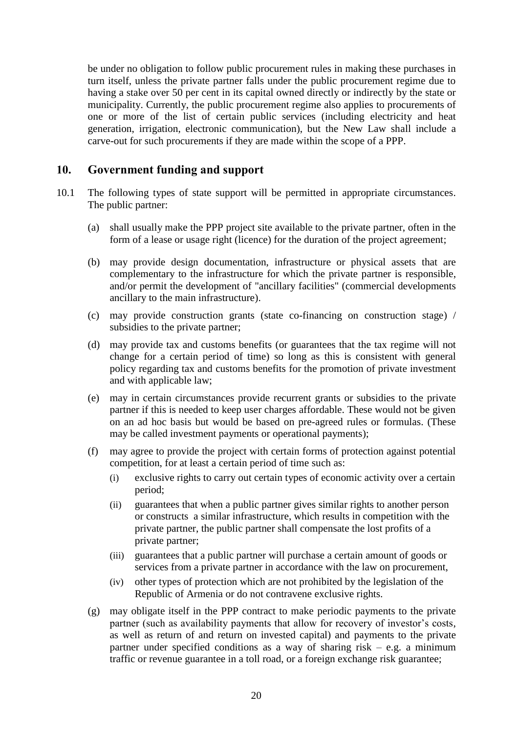be under no obligation to follow public procurement rules in making these purchases in turn itself, unless the private partner falls under the public procurement regime due to having a stake over 50 per cent in its capital owned directly or indirectly by the state or municipality. Currently, the public procurement regime also applies to procurements of one or more of the list of certain public services (including electricity and heat generation, irrigation, electronic communication), but the New Law shall include a carve-out for such procurements if they are made within the scope of a PPP.

## <span id="page-22-0"></span>**10. Government funding and support**

- 10.1 The following types of state support will be permitted in appropriate circumstances. The public partner:
	- (a) shall usually make the PPP project site available to the private partner, often in the form of a lease or usage right (licence) for the duration of the project agreement;
	- (b) may provide design documentation, infrastructure or physical assets that are complementary to the infrastructure for which the private partner is responsible, and/or permit the development of "ancillary facilities" (commercial developments ancillary to the main infrastructure).
	- (c) may provide construction grants (state co-financing on construction stage) / subsidies to the private partner;
	- (d) may provide tax and customs benefits (or guarantees that the tax regime will not change for a certain period of time) so long as this is consistent with general policy regarding tax and customs benefits for the promotion of private investment and with applicable law;
	- (e) may in certain circumstances provide recurrent grants or subsidies to the private partner if this is needed to keep user charges affordable. These would not be given on an ad hoc basis but would be based on pre-agreed rules or formulas. (These may be called investment payments or operational payments);
	- (f) may agree to provide the project with certain forms of protection against potential competition, for at least a certain period of time such as:
		- (i) exclusive rights to carry out certain types of economic activity over a certain period;
		- (ii) guarantees that when a public partner gives similar rights to another person or constructs a similar infrastructure, which results in competition with the private partner, the public partner shall compensate the lost profits of a private partner;
		- (iii) guarantees that a public partner will purchase a certain amount of goods or services from a private partner in accordance with the law on procurement,
		- (iv) other types of protection which are not prohibited by the legislation of the Republic of Armenia or do not contravene exclusive rights.
	- (g) may obligate itself in the PPP contract to make periodic payments to the private partner (such as availability payments that allow for recovery of investor's costs, as well as return of and return on invested capital) and payments to the private partner under specified conditions as a way of sharing risk  $-$  e.g. a minimum traffic or revenue guarantee in a toll road, or a foreign exchange risk guarantee;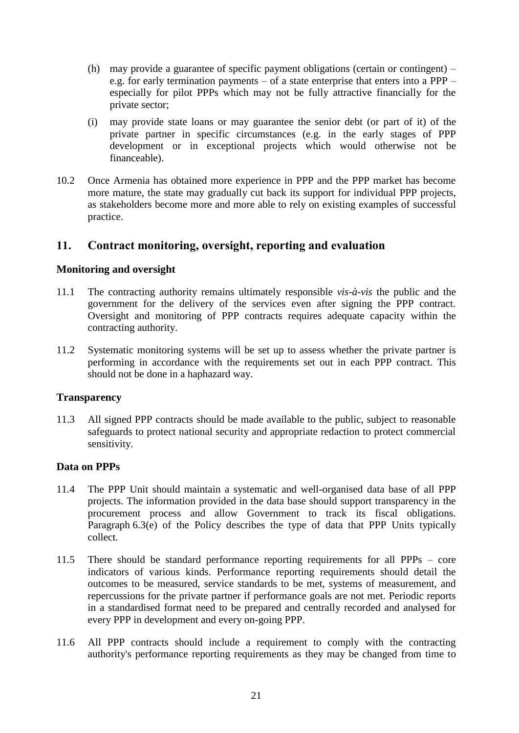- (h) may provide a guarantee of specific payment obligations (certain or contingent) e.g. for early termination payments – of a state enterprise that enters into a PPP – especially for pilot PPPs which may not be fully attractive financially for the private sector;
- (i) may provide state loans or may guarantee the senior debt (or part of it) of the private partner in specific circumstances (e.g. in the early stages of PPP development or in exceptional projects which would otherwise not be financeable).
- 10.2 Once Armenia has obtained more experience in PPP and the PPP market has become more mature, the state may gradually cut back its support for individual PPP projects, as stakeholders become more and more able to rely on existing examples of successful practice.

## <span id="page-23-0"></span>**11. Contract monitoring, oversight, reporting and evaluation**

#### <span id="page-23-1"></span>**Monitoring and oversight**

- 11.1 The contracting authority remains ultimately responsible *vis-à-vis* the public and the government for the delivery of the services even after signing the PPP contract. Oversight and monitoring of PPP contracts requires adequate capacity within the contracting authority.
- 11.2 Systematic monitoring systems will be set up to assess whether the private partner is performing in accordance with the requirements set out in each PPP contract. This should not be done in a haphazard way.

#### <span id="page-23-2"></span>**Transparency**

11.3 All signed PPP contracts should be made available to the public, subject to reasonable safeguards to protect national security and appropriate redaction to protect commercial sensitivity.

#### <span id="page-23-3"></span>**Data on PPPs**

- 11.4 The PPP Unit should maintain a systematic and well-organised data base of all PPP projects. The information provided in the data base should support transparency in the procurement process and allow Government to track its fiscal obligations. Paragraph [6.3\(e\)](#page-14-2) of the Policy describes the type of data that PPP Units typically collect.
- 11.5 There should be standard performance reporting requirements for all PPPs core indicators of various kinds. Performance reporting requirements should detail the outcomes to be measured, service standards to be met, systems of measurement, and repercussions for the private partner if performance goals are not met. Periodic reports in a standardised format need to be prepared and centrally recorded and analysed for every PPP in development and every on-going PPP.
- 11.6 All PPP contracts should include a requirement to comply with the contracting authority's performance reporting requirements as they may be changed from time to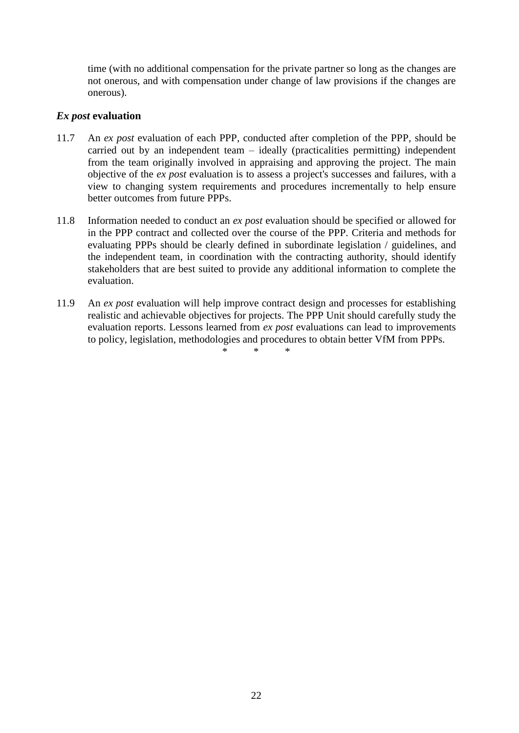time (with no additional compensation for the private partner so long as the changes are not onerous, and with compensation under change of law provisions if the changes are onerous).

#### <span id="page-24-0"></span>*Ex post* **evaluation**

- 11.7 An *ex post* evaluation of each PPP, conducted after completion of the PPP, should be carried out by an independent team – ideally (practicalities permitting) independent from the team originally involved in appraising and approving the project. The main objective of the *ex post* evaluation is to assess a project's successes and failures, with a view to changing system requirements and procedures incrementally to help ensure better outcomes from future PPPs.
- 11.8 Information needed to conduct an *ex post* evaluation should be specified or allowed for in the PPP contract and collected over the course of the PPP. Criteria and methods for evaluating PPPs should be clearly defined in subordinate legislation / guidelines, and the independent team, in coordination with the contracting authority, should identify stakeholders that are best suited to provide any additional information to complete the evaluation.
- 11.9 An *ex post* evaluation will help improve contract design and processes for establishing realistic and achievable objectives for projects. The PPP Unit should carefully study the evaluation reports. Lessons learned from *ex post* evaluations can lead to improvements to policy, legislation, methodologies and procedures to obtain better VfM from PPPs.

\* \* \*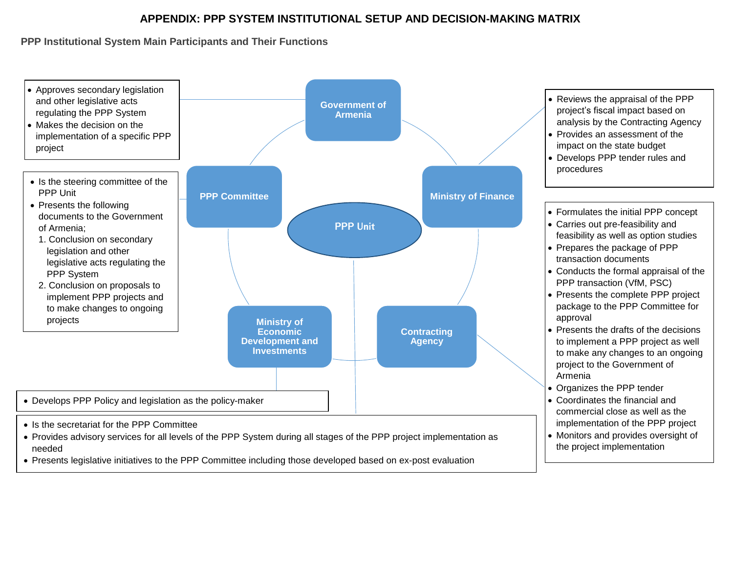## **APPENDIX: PPP SYSTEM INSTITUTIONAL SETUP AND DECISION-MAKING MATRIX**

**PPP Institutional System Main Participants and Their Functions**



Presents legislative initiatives to the PPP Committee including those developed based on ex-post evaluation